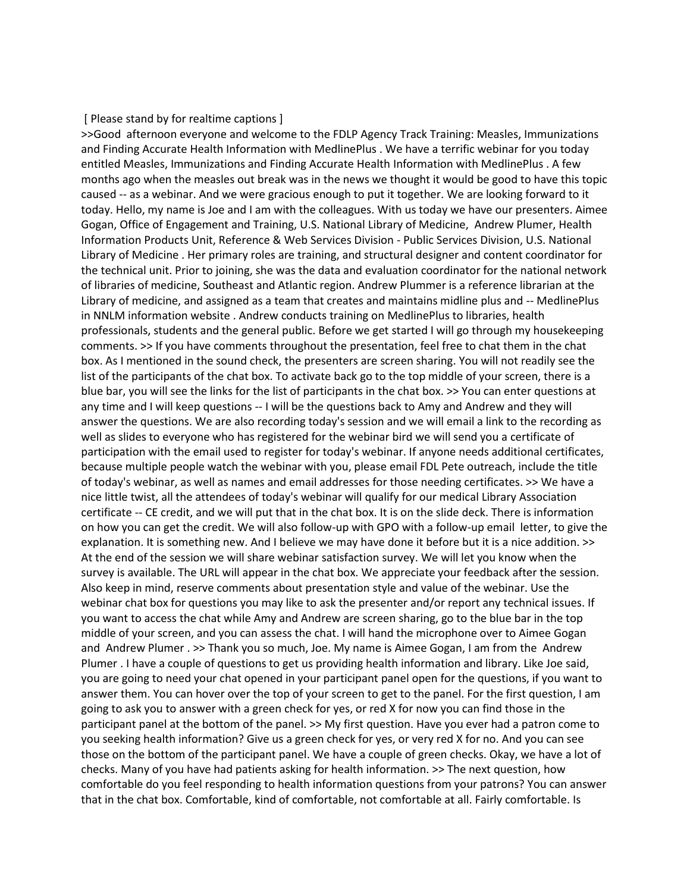## [ Please stand by for realtime captions ]

>>Good afternoon everyone and welcome to the FDLP Agency Track Training: Measles, Immunizations and Finding Accurate Health Information with MedlinePlus . We have a terrific webinar for you today entitled Measles, Immunizations and Finding Accurate Health Information with MedlinePlus . A few months ago when the measles out break was in the news we thought it would be good to have this topic caused -- as a webinar. And we were gracious enough to put it together. We are looking forward to it today. Hello, my name is Joe and I am with the colleagues. With us today we have our presenters. Aimee Gogan, Office of Engagement and Training, U.S. National Library of Medicine, Andrew Plumer, Health Information Products Unit, Reference & Web Services Division - Public Services Division, U.S. National Library of Medicine . Her primary roles are training, and structural designer and content coordinator for the technical unit. Prior to joining, she was the data and evaluation coordinator for the national network of libraries of medicine, Southeast and Atlantic region. Andrew Plummer is a reference librarian at the Library of medicine, and assigned as a team that creates and maintains midline plus and -- MedlinePlus in NNLM information website . Andrew conducts training on MedlinePlus to libraries, health professionals, students and the general public. Before we get started I will go through my housekeeping comments. >> If you have comments throughout the presentation, feel free to chat them in the chat box. As I mentioned in the sound check, the presenters are screen sharing. You will not readily see the list of the participants of the chat box. To activate back go to the top middle of your screen, there is a blue bar, you will see the links for the list of participants in the chat box. >> You can enter questions at any time and I will keep questions -- I will be the questions back to Amy and Andrew and they will answer the questions. We are also recording today's session and we will email a link to the recording as well as slides to everyone who has registered for the webinar bird we will send you a certificate of participation with the email used to register for today's webinar. If anyone needs additional certificates, because multiple people watch the webinar with you, please email FDL Pete outreach, include the title of today's webinar, as well as names and email addresses for those needing certificates. >> We have a nice little twist, all the attendees of today's webinar will qualify for our medical Library Association certificate -- CE credit, and we will put that in the chat box. It is on the slide deck. There is information on how you can get the credit. We will also follow-up with GPO with a follow-up email letter, to give the explanation. It is something new. And I believe we may have done it before but it is a nice addition. >> At the end of the session we will share webinar satisfaction survey. We will let you know when the survey is available. The URL will appear in the chat box. We appreciate your feedback after the session. Also keep in mind, reserve comments about presentation style and value of the webinar. Use the webinar chat box for questions you may like to ask the presenter and/or report any technical issues. If you want to access the chat while Amy and Andrew are screen sharing, go to the blue bar in the top middle of your screen, and you can assess the chat. I will hand the microphone over to Aimee Gogan and Andrew Plumer . >> Thank you so much, Joe. My name is Aimee Gogan, I am from the Andrew Plumer . I have a couple of questions to get us providing health information and library. Like Joe said, you are going to need your chat opened in your participant panel open for the questions, if you want to answer them. You can hover over the top of your screen to get to the panel. For the first question, I am going to ask you to answer with a green check for yes, or red X for now you can find those in the participant panel at the bottom of the panel. >> My first question. Have you ever had a patron come to you seeking health information? Give us a green check for yes, or very red X for no. And you can see those on the bottom of the participant panel. We have a couple of green checks. Okay, we have a lot of checks. Many of you have had patients asking for health information. >> The next question, how comfortable do you feel responding to health information questions from your patrons? You can answer that in the chat box. Comfortable, kind of comfortable, not comfortable at all. Fairly comfortable. Is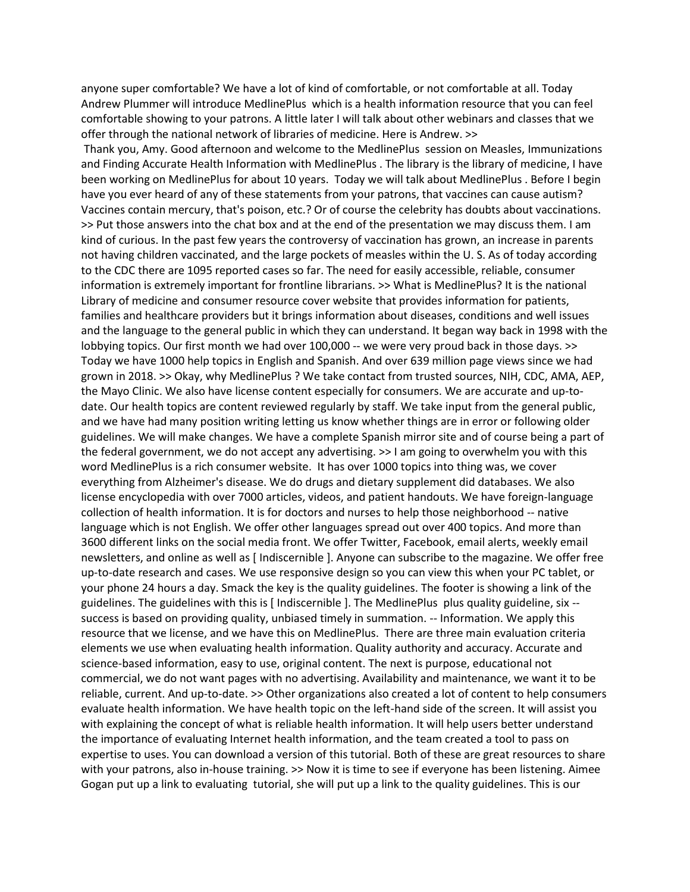anyone super comfortable? We have a lot of kind of comfortable, or not comfortable at all. Today Andrew Plummer will introduce MedlinePlus which is a health information resource that you can feel comfortable showing to your patrons. A little later I will talk about other webinars and classes that we offer through the national network of libraries of medicine. Here is Andrew. >>

Thank you, Amy. Good afternoon and welcome to the MedlinePlus session on Measles, Immunizations and Finding Accurate Health Information with MedlinePlus . The library is the library of medicine, I have been working on MedlinePlus for about 10 years. Today we will talk about MedlinePlus . Before I begin have you ever heard of any of these statements from your patrons, that vaccines can cause autism? Vaccines contain mercury, that's poison, etc.? Or of course the celebrity has doubts about vaccinations. >> Put those answers into the chat box and at the end of the presentation we may discuss them. I am kind of curious. In the past few years the controversy of vaccination has grown, an increase in parents not having children vaccinated, and the large pockets of measles within the U. S. As of today according to the CDC there are 1095 reported cases so far. The need for easily accessible, reliable, consumer information is extremely important for frontline librarians. >> What is MedlinePlus? It is the national Library of medicine and consumer resource cover website that provides information for patients, families and healthcare providers but it brings information about diseases, conditions and well issues and the language to the general public in which they can understand. It began way back in 1998 with the lobbying topics. Our first month we had over 100,000 -- we were very proud back in those days. >> Today we have 1000 help topics in English and Spanish. And over 639 million page views since we had grown in 2018. >> Okay, why MedlinePlus ? We take contact from trusted sources, NIH, CDC, AMA, AEP, the Mayo Clinic. We also have license content especially for consumers. We are accurate and up-todate. Our health topics are content reviewed regularly by staff. We take input from the general public, and we have had many position writing letting us know whether things are in error or following older guidelines. We will make changes. We have a complete Spanish mirror site and of course being a part of the federal government, we do not accept any advertising. >> I am going to overwhelm you with this word MedlinePlus is a rich consumer website. It has over 1000 topics into thing was, we cover everything from Alzheimer's disease. We do drugs and dietary supplement did databases. We also license encyclopedia with over 7000 articles, videos, and patient handouts. We have foreign-language collection of health information. It is for doctors and nurses to help those neighborhood -- native language which is not English. We offer other languages spread out over 400 topics. And more than 3600 different links on the social media front. We offer Twitter, Facebook, email alerts, weekly email newsletters, and online as well as [ Indiscernible ]. Anyone can subscribe to the magazine. We offer free up-to-date research and cases. We use responsive design so you can view this when your PC tablet, or your phone 24 hours a day. Smack the key is the quality guidelines. The footer is showing a link of the guidelines. The guidelines with this is [ Indiscernible ]. The MedlinePlus plus quality guideline, six - success is based on providing quality, unbiased timely in summation. -- Information. We apply this resource that we license, and we have this on MedlinePlus. There are three main evaluation criteria elements we use when evaluating health information. Quality authority and accuracy. Accurate and science-based information, easy to use, original content. The next is purpose, educational not commercial, we do not want pages with no advertising. Availability and maintenance, we want it to be reliable, current. And up-to-date. >> Other organizations also created a lot of content to help consumers evaluate health information. We have health topic on the left-hand side of the screen. It will assist you with explaining the concept of what is reliable health information. It will help users better understand the importance of evaluating Internet health information, and the team created a tool to pass on expertise to uses. You can download a version of this tutorial. Both of these are great resources to share with your patrons, also in-house training. >> Now it is time to see if everyone has been listening. Aimee Gogan put up a link to evaluating tutorial, she will put up a link to the quality guidelines. This is our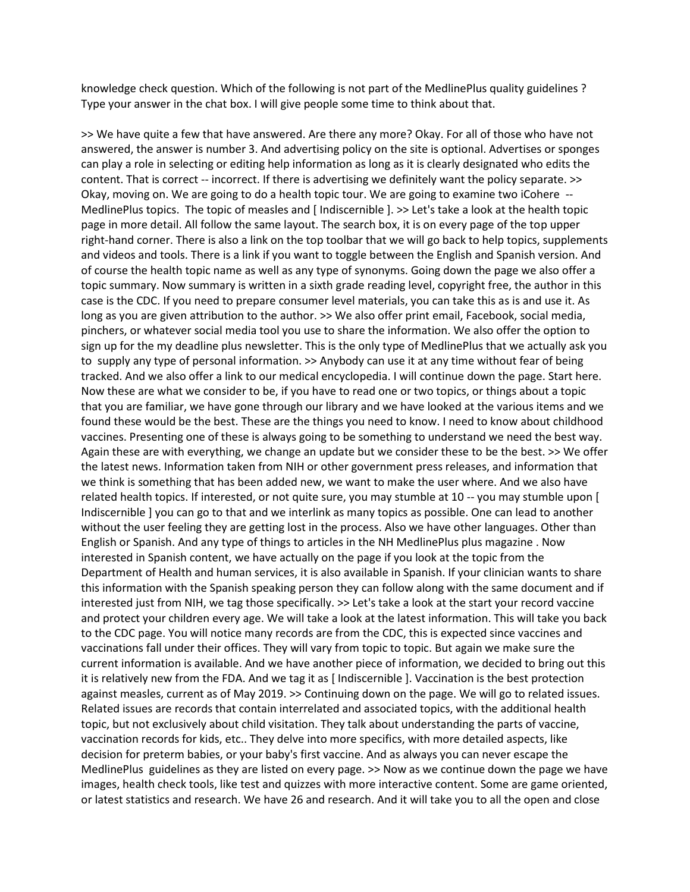knowledge check question. Which of the following is not part of the MedlinePlus quality guidelines ? Type your answer in the chat box. I will give people some time to think about that.

>> We have quite a few that have answered. Are there any more? Okay. For all of those who have not answered, the answer is number 3. And advertising policy on the site is optional. Advertises or sponges can play a role in selecting or editing help information as long as it is clearly designated who edits the content. That is correct -- incorrect. If there is advertising we definitely want the policy separate. >> Okay, moving on. We are going to do a health topic tour. We are going to examine two iCohere -- MedlinePlus topics. The topic of measles and [ Indiscernible ]. >> Let's take a look at the health topic page in more detail. All follow the same layout. The search box, it is on every page of the top upper right-hand corner. There is also a link on the top toolbar that we will go back to help topics, supplements and videos and tools. There is a link if you want to toggle between the English and Spanish version. And of course the health topic name as well as any type of synonyms. Going down the page we also offer a topic summary. Now summary is written in a sixth grade reading level, copyright free, the author in this case is the CDC. If you need to prepare consumer level materials, you can take this as is and use it. As long as you are given attribution to the author. >> We also offer print email, Facebook, social media, pinchers, or whatever social media tool you use to share the information. We also offer the option to sign up for the my deadline plus newsletter. This is the only type of MedlinePlus that we actually ask you to supply any type of personal information. >> Anybody can use it at any time without fear of being tracked. And we also offer a link to our medical encyclopedia. I will continue down the page. Start here. Now these are what we consider to be, if you have to read one or two topics, or things about a topic that you are familiar, we have gone through our library and we have looked at the various items and we found these would be the best. These are the things you need to know. I need to know about childhood vaccines. Presenting one of these is always going to be something to understand we need the best way. Again these are with everything, we change an update but we consider these to be the best. >> We offer the latest news. Information taken from NIH or other government press releases, and information that we think is something that has been added new, we want to make the user where. And we also have related health topics. If interested, or not quite sure, you may stumble at 10 -- you may stumble upon [ Indiscernible ] you can go to that and we interlink as many topics as possible. One can lead to another without the user feeling they are getting lost in the process. Also we have other languages. Other than English or Spanish. And any type of things to articles in the NH MedlinePlus plus magazine . Now interested in Spanish content, we have actually on the page if you look at the topic from the Department of Health and human services, it is also available in Spanish. If your clinician wants to share this information with the Spanish speaking person they can follow along with the same document and if interested just from NIH, we tag those specifically. >> Let's take a look at the start your record vaccine and protect your children every age. We will take a look at the latest information. This will take you back to the CDC page. You will notice many records are from the CDC, this is expected since vaccines and vaccinations fall under their offices. They will vary from topic to topic. But again we make sure the current information is available. And we have another piece of information, we decided to bring out this it is relatively new from the FDA. And we tag it as [ Indiscernible ]. Vaccination is the best protection against measles, current as of May 2019. >> Continuing down on the page. We will go to related issues. Related issues are records that contain interrelated and associated topics, with the additional health topic, but not exclusively about child visitation. They talk about understanding the parts of vaccine, vaccination records for kids, etc.. They delve into more specifics, with more detailed aspects, like decision for preterm babies, or your baby's first vaccine. And as always you can never escape the MedlinePlus guidelines as they are listed on every page. >> Now as we continue down the page we have images, health check tools, like test and quizzes with more interactive content. Some are game oriented, or latest statistics and research. We have 26 and research. And it will take you to all the open and close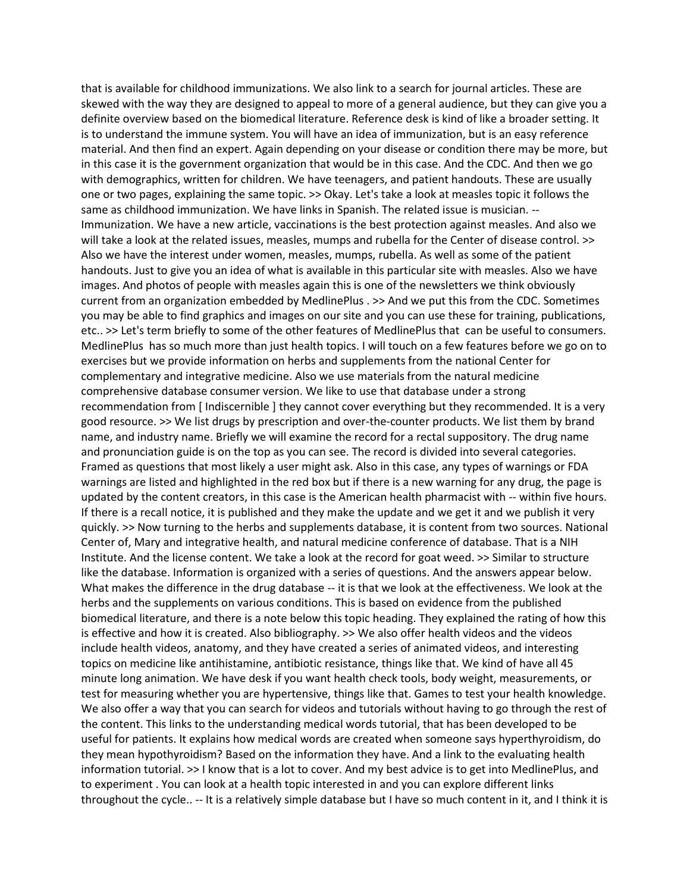that is available for childhood immunizations. We also link to a search for journal articles. These are skewed with the way they are designed to appeal to more of a general audience, but they can give you a definite overview based on the biomedical literature. Reference desk is kind of like a broader setting. It is to understand the immune system. You will have an idea of immunization, but is an easy reference material. And then find an expert. Again depending on your disease or condition there may be more, but in this case it is the government organization that would be in this case. And the CDC. And then we go with demographics, written for children. We have teenagers, and patient handouts. These are usually one or two pages, explaining the same topic. >> Okay. Let's take a look at measles topic it follows the same as childhood immunization. We have links in Spanish. The related issue is musician. -- Immunization. We have a new article, vaccinations is the best protection against measles. And also we will take a look at the related issues, measles, mumps and rubella for the Center of disease control. >> Also we have the interest under women, measles, mumps, rubella. As well as some of the patient handouts. Just to give you an idea of what is available in this particular site with measles. Also we have images. And photos of people with measles again this is one of the newsletters we think obviously current from an organization embedded by MedlinePlus . >> And we put this from the CDC. Sometimes you may be able to find graphics and images on our site and you can use these for training, publications, etc.. >> Let's term briefly to some of the other features of MedlinePlus that can be useful to consumers. MedlinePlus has so much more than just health topics. I will touch on a few features before we go on to exercises but we provide information on herbs and supplements from the national Center for complementary and integrative medicine. Also we use materials from the natural medicine comprehensive database consumer version. We like to use that database under a strong recommendation from [ Indiscernible ] they cannot cover everything but they recommended. It is a very good resource. >> We list drugs by prescription and over-the-counter products. We list them by brand name, and industry name. Briefly we will examine the record for a rectal suppository. The drug name and pronunciation guide is on the top as you can see. The record is divided into several categories. Framed as questions that most likely a user might ask. Also in this case, any types of warnings or FDA warnings are listed and highlighted in the red box but if there is a new warning for any drug, the page is updated by the content creators, in this case is the American health pharmacist with -- within five hours. If there is a recall notice, it is published and they make the update and we get it and we publish it very quickly. >> Now turning to the herbs and supplements database, it is content from two sources. National Center of, Mary and integrative health, and natural medicine conference of database. That is a NIH Institute. And the license content. We take a look at the record for goat weed. >> Similar to structure like the database. Information is organized with a series of questions. And the answers appear below. What makes the difference in the drug database -- it is that we look at the effectiveness. We look at the herbs and the supplements on various conditions. This is based on evidence from the published biomedical literature, and there is a note below this topic heading. They explained the rating of how this is effective and how it is created. Also bibliography. >> We also offer health videos and the videos include health videos, anatomy, and they have created a series of animated videos, and interesting topics on medicine like antihistamine, antibiotic resistance, things like that. We kind of have all 45 minute long animation. We have desk if you want health check tools, body weight, measurements, or test for measuring whether you are hypertensive, things like that. Games to test your health knowledge. We also offer a way that you can search for videos and tutorials without having to go through the rest of the content. This links to the understanding medical words tutorial, that has been developed to be useful for patients. It explains how medical words are created when someone says hyperthyroidism, do they mean hypothyroidism? Based on the information they have. And a link to the evaluating health information tutorial. >> I know that is a lot to cover. And my best advice is to get into MedlinePlus, and to experiment . You can look at a health topic interested in and you can explore different links throughout the cycle.. -- It is a relatively simple database but I have so much content in it, and I think it is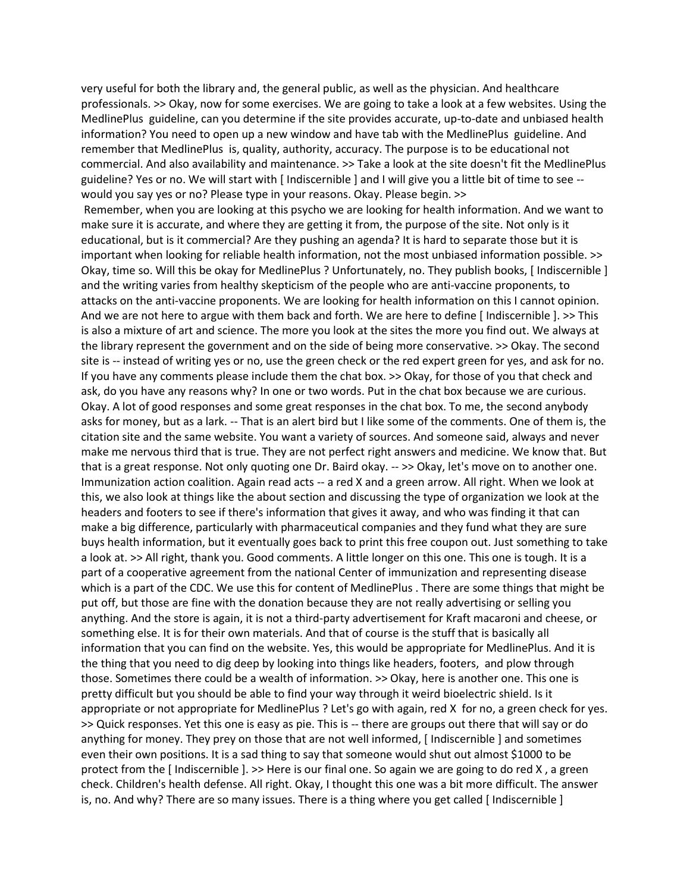very useful for both the library and, the general public, as well as the physician. And healthcare professionals. >> Okay, now for some exercises. We are going to take a look at a few websites. Using the MedlinePlus guideline, can you determine if the site provides accurate, up-to-date and unbiased health information? You need to open up a new window and have tab with the MedlinePlus guideline. And remember that MedlinePlus is, quality, authority, accuracy. The purpose is to be educational not commercial. And also availability and maintenance. >> Take a look at the site doesn't fit the MedlinePlus guideline? Yes or no. We will start with [ Indiscernible ] and I will give you a little bit of time to see - would you say yes or no? Please type in your reasons. Okay. Please begin. >>

Remember, when you are looking at this psycho we are looking for health information. And we want to make sure it is accurate, and where they are getting it from, the purpose of the site. Not only is it educational, but is it commercial? Are they pushing an agenda? It is hard to separate those but it is important when looking for reliable health information, not the most unbiased information possible. >> Okay, time so. Will this be okay for MedlinePlus ? Unfortunately, no. They publish books, [ Indiscernible ] and the writing varies from healthy skepticism of the people who are anti-vaccine proponents, to attacks on the anti-vaccine proponents. We are looking for health information on this I cannot opinion. And we are not here to argue with them back and forth. We are here to define [ Indiscernible ]. >> This is also a mixture of art and science. The more you look at the sites the more you find out. We always at the library represent the government and on the side of being more conservative. >> Okay. The second site is -- instead of writing yes or no, use the green check or the red expert green for yes, and ask for no. If you have any comments please include them the chat box. >> Okay, for those of you that check and ask, do you have any reasons why? In one or two words. Put in the chat box because we are curious. Okay. A lot of good responses and some great responses in the chat box. To me, the second anybody asks for money, but as a lark. -- That is an alert bird but I like some of the comments. One of them is, the citation site and the same website. You want a variety of sources. And someone said, always and never make me nervous third that is true. They are not perfect right answers and medicine. We know that. But that is a great response. Not only quoting one Dr. Baird okay. -- >> Okay, let's move on to another one. Immunization action coalition. Again read acts -- a red X and a green arrow. All right. When we look at this, we also look at things like the about section and discussing the type of organization we look at the headers and footers to see if there's information that gives it away, and who was finding it that can make a big difference, particularly with pharmaceutical companies and they fund what they are sure buys health information, but it eventually goes back to print this free coupon out. Just something to take a look at. >> All right, thank you. Good comments. A little longer on this one. This one is tough. It is a part of a cooperative agreement from the national Center of immunization and representing disease which is a part of the CDC. We use this for content of MedlinePlus . There are some things that might be put off, but those are fine with the donation because they are not really advertising or selling you anything. And the store is again, it is not a third-party advertisement for Kraft macaroni and cheese, or something else. It is for their own materials. And that of course is the stuff that is basically all information that you can find on the website. Yes, this would be appropriate for MedlinePlus. And it is the thing that you need to dig deep by looking into things like headers, footers, and plow through those. Sometimes there could be a wealth of information. >> Okay, here is another one. This one is pretty difficult but you should be able to find your way through it weird bioelectric shield. Is it appropriate or not appropriate for MedlinePlus ? Let's go with again, red X for no, a green check for yes. >> Quick responses. Yet this one is easy as pie. This is -- there are groups out there that will say or do anything for money. They prey on those that are not well informed, [ Indiscernible ] and sometimes even their own positions. It is a sad thing to say that someone would shut out almost \$1000 to be protect from the [ Indiscernible ]. >> Here is our final one. So again we are going to do red X , a green check. Children's health defense. All right. Okay, I thought this one was a bit more difficult. The answer is, no. And why? There are so many issues. There is a thing where you get called [ Indiscernible ]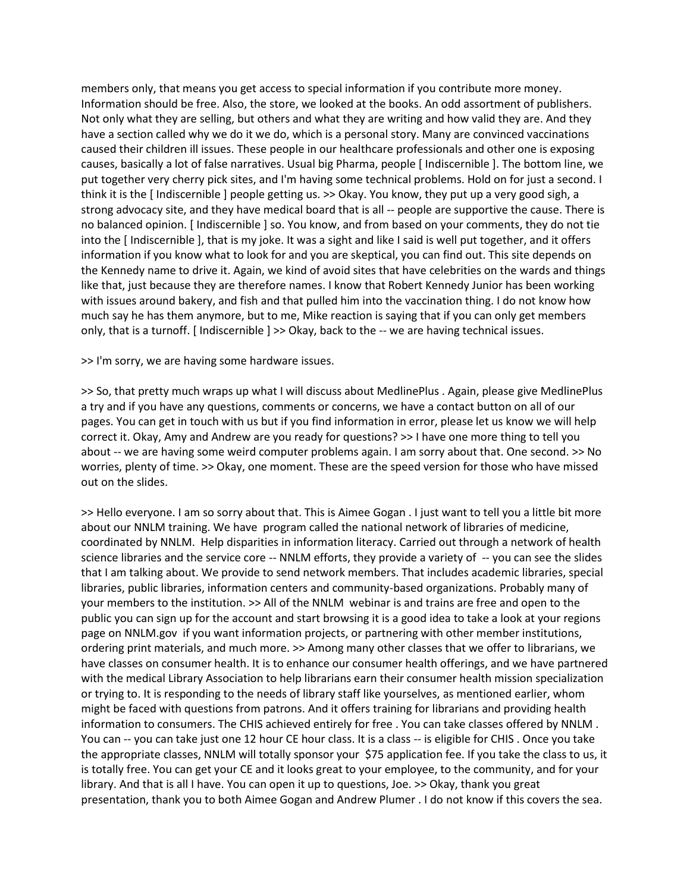members only, that means you get access to special information if you contribute more money. Information should be free. Also, the store, we looked at the books. An odd assortment of publishers. Not only what they are selling, but others and what they are writing and how valid they are. And they have a section called why we do it we do, which is a personal story. Many are convinced vaccinations caused their children ill issues. These people in our healthcare professionals and other one is exposing causes, basically a lot of false narratives. Usual big Pharma, people [ Indiscernible ]. The bottom line, we put together very cherry pick sites, and I'm having some technical problems. Hold on for just a second. I think it is the [ Indiscernible ] people getting us. >> Okay. You know, they put up a very good sigh, a strong advocacy site, and they have medical board that is all -- people are supportive the cause. There is no balanced opinion. [ Indiscernible ] so. You know, and from based on your comments, they do not tie into the [ Indiscernible ], that is my joke. It was a sight and like I said is well put together, and it offers information if you know what to look for and you are skeptical, you can find out. This site depends on the Kennedy name to drive it. Again, we kind of avoid sites that have celebrities on the wards and things like that, just because they are therefore names. I know that Robert Kennedy Junior has been working with issues around bakery, and fish and that pulled him into the vaccination thing. I do not know how much say he has them anymore, but to me, Mike reaction is saying that if you can only get members only, that is a turnoff. [ Indiscernible ] >> Okay, back to the -- we are having technical issues.

>> I'm sorry, we are having some hardware issues.

>> So, that pretty much wraps up what I will discuss about MedlinePlus . Again, please give MedlinePlus a try and if you have any questions, comments or concerns, we have a contact button on all of our pages. You can get in touch with us but if you find information in error, please let us know we will help correct it. Okay, Amy and Andrew are you ready for questions? >> I have one more thing to tell you about -- we are having some weird computer problems again. I am sorry about that. One second. >> No worries, plenty of time. >> Okay, one moment. These are the speed version for those who have missed out on the slides.

>> Hello everyone. I am so sorry about that. This is Aimee Gogan . I just want to tell you a little bit more about our NNLM training. We have program called the national network of libraries of medicine, coordinated by NNLM. Help disparities in information literacy. Carried out through a network of health science libraries and the service core -- NNLM efforts, they provide a variety of -- you can see the slides that I am talking about. We provide to send network members. That includes academic libraries, special libraries, public libraries, information centers and community-based organizations. Probably many of your members to the institution. >> All of the NNLM webinar is and trains are free and open to the public you can sign up for the account and start browsing it is a good idea to take a look at your regions page on NNLM.gov if you want information projects, or partnering with other member institutions, ordering print materials, and much more. >> Among many other classes that we offer to librarians, we have classes on consumer health. It is to enhance our consumer health offerings, and we have partnered with the medical Library Association to help librarians earn their consumer health mission specialization or trying to. It is responding to the needs of library staff like yourselves, as mentioned earlier, whom might be faced with questions from patrons. And it offers training for librarians and providing health information to consumers. The CHIS achieved entirely for free . You can take classes offered by NNLM . You can -- you can take just one 12 hour CE hour class. It is a class -- is eligible for CHIS . Once you take the appropriate classes, NNLM will totally sponsor your \$75 application fee. If you take the class to us, it is totally free. You can get your CE and it looks great to your employee, to the community, and for your library. And that is all I have. You can open it up to questions, Joe. >> Okay, thank you great presentation, thank you to both Aimee Gogan and Andrew Plumer . I do not know if this covers the sea.